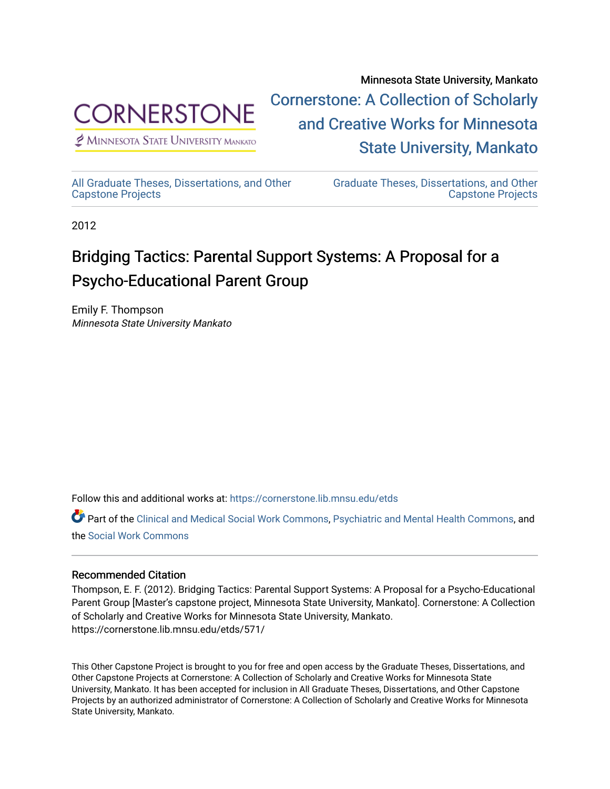

Minnesota State University, Mankato [Cornerstone: A Collection of Scholarly](https://cornerstone.lib.mnsu.edu/)  [and Creative Works for Minnesota](https://cornerstone.lib.mnsu.edu/)  [State University, Mankato](https://cornerstone.lib.mnsu.edu/) 

 $<sup>2</sup>$  Minnesota State University Mankato</sup>

[All Graduate Theses, Dissertations, and Other](https://cornerstone.lib.mnsu.edu/etds) 

[Graduate Theses, Dissertations, and Other](https://cornerstone.lib.mnsu.edu/theses_dissertations-capstone)  [Capstone Projects](https://cornerstone.lib.mnsu.edu/theses_dissertations-capstone) 

2012

[Capstone Projects](https://cornerstone.lib.mnsu.edu/etds) 

### Bridging Tactics: Parental Support Systems: A Proposal for a Psycho-Educational Parent Group

Emily F. Thompson Minnesota State University Mankato

Follow this and additional works at: [https://cornerstone.lib.mnsu.edu/etds](https://cornerstone.lib.mnsu.edu/etds?utm_source=cornerstone.lib.mnsu.edu%2Fetds%2F571&utm_medium=PDF&utm_campaign=PDFCoverPages) 

Part of the [Clinical and Medical Social Work Commons,](http://network.bepress.com/hgg/discipline/712?utm_source=cornerstone.lib.mnsu.edu%2Fetds%2F571&utm_medium=PDF&utm_campaign=PDFCoverPages) [Psychiatric and Mental Health Commons,](http://network.bepress.com/hgg/discipline/711?utm_source=cornerstone.lib.mnsu.edu%2Fetds%2F571&utm_medium=PDF&utm_campaign=PDFCoverPages) and the [Social Work Commons](http://network.bepress.com/hgg/discipline/713?utm_source=cornerstone.lib.mnsu.edu%2Fetds%2F571&utm_medium=PDF&utm_campaign=PDFCoverPages) 

### Recommended Citation

Thompson, E. F. (2012). Bridging Tactics: Parental Support Systems: A Proposal for a Psycho-Educational Parent Group [Master's capstone project, Minnesota State University, Mankato]. Cornerstone: A Collection of Scholarly and Creative Works for Minnesota State University, Mankato. https://cornerstone.lib.mnsu.edu/etds/571/

This Other Capstone Project is brought to you for free and open access by the Graduate Theses, Dissertations, and Other Capstone Projects at Cornerstone: A Collection of Scholarly and Creative Works for Minnesota State University, Mankato. It has been accepted for inclusion in All Graduate Theses, Dissertations, and Other Capstone Projects by an authorized administrator of Cornerstone: A Collection of Scholarly and Creative Works for Minnesota State University, Mankato.